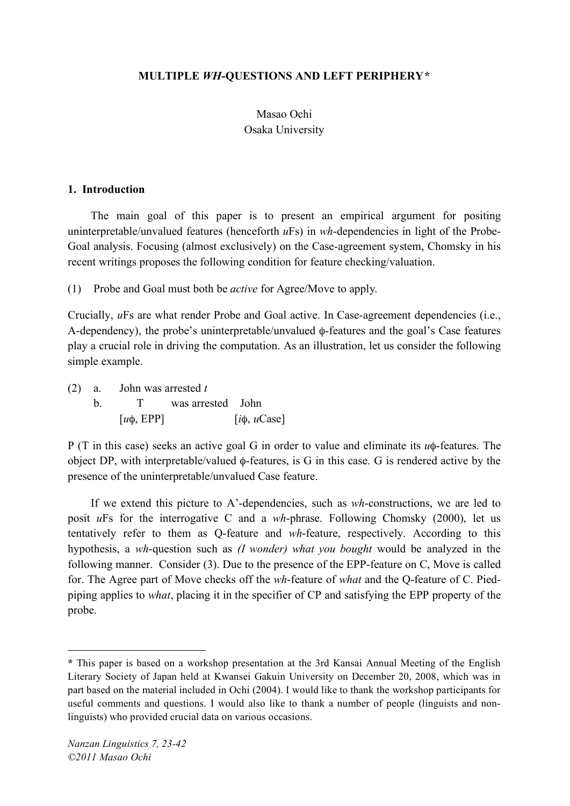## **MULTIPLE** *WH***-QUESTIONS AND LEFT PERIPHERY\***

# Masao Ochi Osaka University

#### **1. Introduction**

The main goal of this paper is to present an empirical argument for positing uninterpretable/unvalued features (henceforth *u*Fs) in *wh*-dependencies in light of the Probe-Goal analysis. Focusing (almost exclusively) on the Case-agreement system, Chomsky in his recent writings proposes the following condition for feature checking/valuation.

(1) Probe and Goal must both be *active* for Agree/Move to apply.

Crucially, *u*Fs are what render Probe and Goal active. In Case-agreement dependencies (i.e., A-dependency), the probe's uninterpretable/unvalued φ-features and the goal's Case features play a crucial role in driving the computation. As an illustration, let us consider the following simple example.

(2) a. John was arrested *t* b. T was arrested John  $[u\phi, EPP]$  [ $i\phi, uCase$ ]

P (T in this case) seeks an active goal G in order to value and eliminate its *u*φ-features. The object DP, with interpretable/valued φ-features, is G in this case. G is rendered active by the presence of the uninterpretable/unvalued Case feature.

If we extend this picture to A'-dependencies, such as *wh*-constructions, we are led to posit *u*Fs for the interrogative C and a *wh*-phrase. Following Chomsky (2000), let us tentatively refer to them as Q-feature and *wh*-feature, respectively. According to this hypothesis, a *wh*-question such as *(I wonder) what you bought* would be analyzed in the following manner. Consider (3). Due to the presence of the EPP-feature on C, Move is called for. The Agree part of Move checks off the *wh*-feature of *what* and the Q-feature of C. Piedpiping applies to *what*, placing it in the specifier of CP and satisfying the EPP property of the probe.

 $\overline{a}$ 

**<sup>\*</sup>** This paper is based on a workshop presentation at the 3rd Kansai Annual Meeting of the English Literary Society of Japan held at Kwansei Gakuin University on December 20, 2008, which was in part based on the material included in Ochi (2004). I would like to thank the workshop participants for useful comments and questions. I would also like to thank a number of people (linguists and nonlinguists) who provided crucial data on various occasions.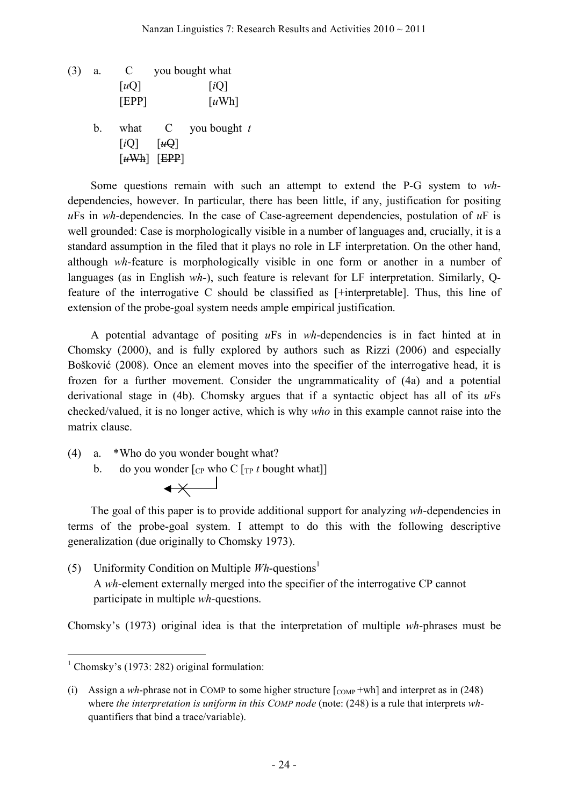(3) a. C you bought what  $\lceil uQ \rceil$   $\lceil iQ \rceil$ [EPP] [*u*Wh] b. what C you bought *t*  $[iQ]$   $[\mathit{u}\mathit{\Theta}]$  $\lceil u \text{Wh} \rceil$  [EPP]

Some questions remain with such an attempt to extend the P-G system to *wh*dependencies, however. In particular, there has been little, if any, justification for positing *u*Fs in *wh*-dependencies. In the case of Case-agreement dependencies, postulation of *u*F is well grounded: Case is morphologically visible in a number of languages and, crucially, it is a standard assumption in the filed that it plays no role in LF interpretation. On the other hand, although *wh*-feature is morphologically visible in one form or another in a number of languages (as in English *wh*-), such feature is relevant for LF interpretation. Similarly, Qfeature of the interrogative C should be classified as [+interpretable]. Thus, this line of extension of the probe-goal system needs ample empirical justification.

A potential advantage of positing *u*Fs in *wh*-dependencies is in fact hinted at in Chomsky (2000), and is fully explored by authors such as Rizzi (2006) and especially Bošković (2008). Once an element moves into the specifier of the interrogative head, it is frozen for a further movement. Consider the ungrammaticality of (4a) and a potential derivational stage in (4b). Chomsky argues that if a syntactic object has all of its *u*Fs checked/valued, it is no longer active, which is why *who* in this example cannot raise into the matrix clause.

(4) a. \*Who do you wonder bought what?

 $\leftrightarrow$ 

b. do you wonder  $\lceil \frac{C_P}{P} \cdot \frac{C_P}{P} \cdot t \cdot \frac{C_P}{P} \cdot \frac{C_P}{P} \cdot \frac{C_P}{P} \cdot \frac{C_P}{P} \cdot \frac{C_P}{P} \cdot \frac{C_P}{P} \cdot \frac{C_P}{P} \cdot \frac{C_P}{P} \cdot \frac{C_P}{P} \cdot \frac{C_P}{P} \cdot \frac{C_P}{P} \cdot \frac{C_P}{P} \cdot \frac{C_P}{P} \cdot \frac{C_P}{P} \cdot \frac{C_P}{P} \cdot \frac{C_P}{P} \cdot \frac{C_P}{P} \cdot \frac{C_P}{P$ 

The goal of this paper is to provide additional support for analyzing *wh*-dependencies in terms of the probe-goal system. I attempt to do this with the following descriptive generalization (due originally to Chomsky 1973).

(5) Uniformity Condition on Multiple *Wh*-questions1 A *wh*-element externally merged into the specifier of the interrogative CP cannot participate in multiple *wh*-questions.

Chomsky's (1973) original idea is that the interpretation of multiple *wh*-phrases must be

<sup>&</sup>lt;sup>1</sup> Chomsky's (1973: 282) original formulation:

<sup>(</sup>i) Assign a *wh*-phrase not in COMP to some higher structure  $\begin{bmatrix} \text{COMP} +wh \end{bmatrix}$  and interpret as in (248) where *the interpretation is uniform in this COMP node* (note: (248) is a rule that interprets *wh*quantifiers that bind a trace/variable).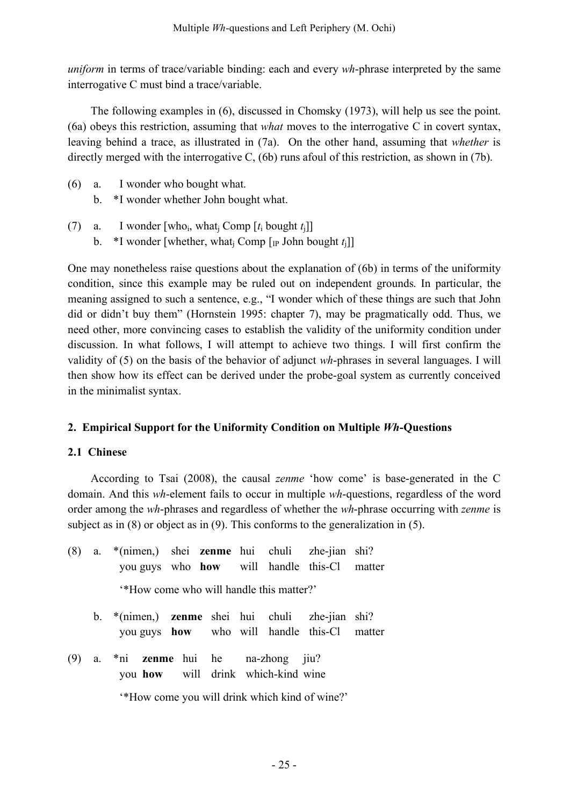*uniform* in terms of trace/variable binding: each and every *wh*-phrase interpreted by the same interrogative C must bind a trace/variable.

The following examples in (6), discussed in Chomsky (1973), will help us see the point. (6a) obeys this restriction, assuming that *what* moves to the interrogative C in covert syntax, leaving behind a trace, as illustrated in (7a). On the other hand, assuming that *whether* is directly merged with the interrogative C, (6b) runs afoul of this restriction, as shown in (7b).

- (6) a. I wonder who bought what.
	- b. \*I wonder whether John bought what.
- (7) a. I wonder [who<sub>i</sub>, what<sub>i</sub> Comp  $[t_i]$  bought  $t_i$ ]] b.  $*$ I wonder [whether, what<sub>i</sub> Comp [IP John bought  $t_i$ ]]

One may nonetheless raise questions about the explanation of (6b) in terms of the uniformity condition, since this example may be ruled out on independent grounds. In particular, the meaning assigned to such a sentence, e.g., "I wonder which of these things are such that John did or didn't buy them" (Hornstein 1995: chapter 7), may be pragmatically odd. Thus, we need other, more convincing cases to establish the validity of the uniformity condition under discussion. In what follows, I will attempt to achieve two things. I will first confirm the validity of (5) on the basis of the behavior of adjunct *wh*-phrases in several languages. I will then show how its effect can be derived under the probe-goal system as currently conceived in the minimalist syntax.

### **2. Empirical Support for the Uniformity Condition on Multiple** *Wh***-Questions**

### **2.1 Chinese**

According to Tsai (2008), the causal *zenme* 'how come' is base-generated in the C domain. And this *wh*-element fails to occur in multiple *wh*-questions, regardless of the word order among the *wh*-phrases and regardless of whether the *wh*-phrase occurring with *zenme* is subject as in (8) or object as in (9). This conforms to the generalization in (5).

- (8) a. \*(nimen,) shei **zenme** hui chuli zhe-jian shi? you guys who **how** will handle this-Cl matter '\*How come who will handle this matter?'
	- b. \*(nimen,) **zenme** shei hui chuli zhe-jian shi? you guys **how** who will handle this-Cl matter
- (9) a. \*ni **zenme** hui he na-zhong jiu? you **how** will drink which-kind wine

'\*How come you will drink which kind of wine?'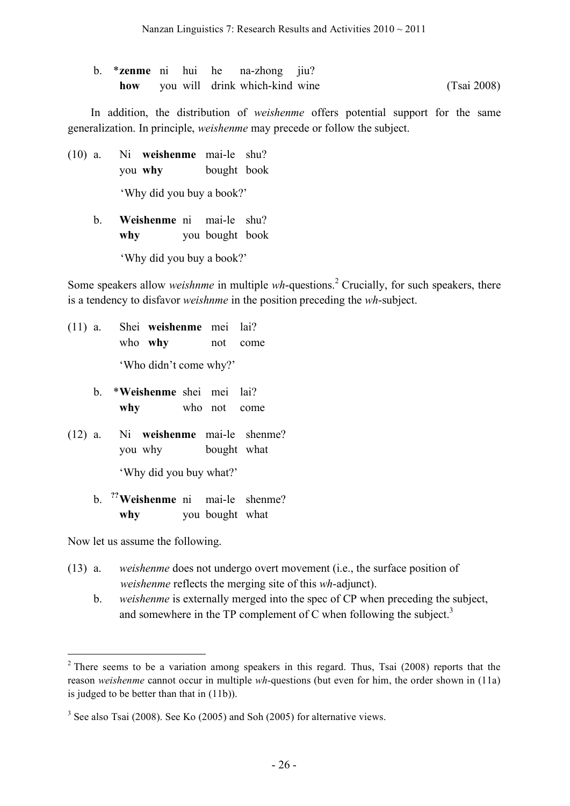b. \***zenme** ni hui he na-zhong jiu? **how** you will drink which-kind wine (Tsai 2008)

In addition, the distribution of *weishenme* offers potential support for the same generalization. In principle, *weishenme* may precede or follow the subject.

- (10) a. Ni **weishenme** mai-le shu? you **why** bought book 'Why did you buy a book?'
	- b. **Weishenme** ni mai-le shu? **why** you bought book 'Why did you buy a book?'

Some speakers allow *weishnme* in multiple *wh*-questions. <sup>2</sup> Crucially, for such speakers, there is a tendency to disfavor *weishnme* in the position preceding the *wh*-subject.

- (11) a. Shei **weishenme** mei lai? who **why** not come 'Who didn't come why?'
	- b. \***Weishenme** shei mei lai? **why** who not come
- (12) a. Ni **weishenme** mai-le shenme? you why bought what 'Why did you buy what?'
	- b. **??** mai-le shenme? **why** you bought what

Now let us assume the following.

- (13) a. *weishenme* does not undergo overt movement (i.e., the surface position of *weishenme* reflects the merging site of this *wh*-adjunct).
	- b. *weishenme* is externally merged into the spec of CP when preceding the subject, and somewhere in the TP complement of C when following the subject. $3$

 $2$  There seems to be a variation among speakers in this regard. Thus, Tsai (2008) reports that the reason *weishenme* cannot occur in multiple *wh*-questions (but even for him, the order shown in (11a) is judged to be better than that in (11b)).

<sup>&</sup>lt;sup>3</sup> See also Tsai (2008). See Ko (2005) and Soh (2005) for alternative views.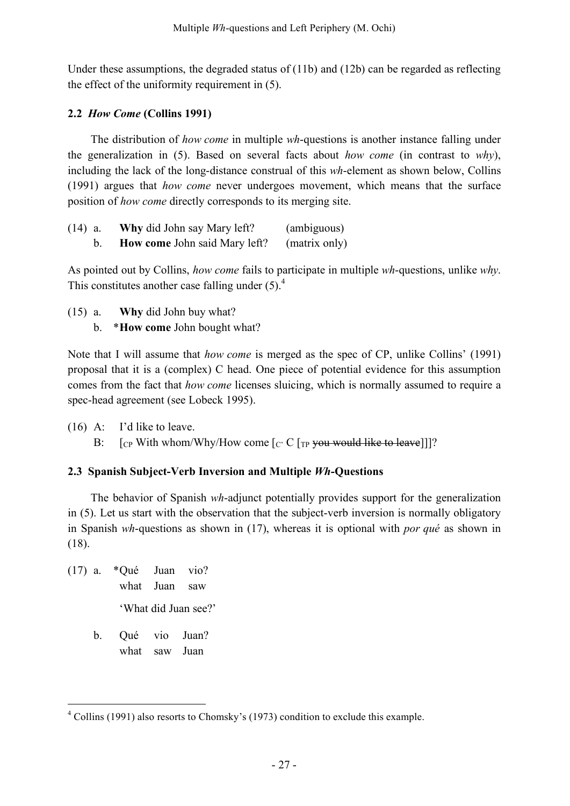Under these assumptions, the degraded status of (11b) and (12b) can be regarded as reflecting the effect of the uniformity requirement in (5).

## **2.2** *How Come* **(Collins 1991)**

The distribution of *how come* in multiple *wh*-questions is another instance falling under the generalization in (5). Based on several facts about *how come* (in contrast to *why*), including the lack of the long-distance construal of this *wh*-element as shown below, Collins (1991) argues that *how come* never undergoes movement, which means that the surface position of *how come* directly corresponds to its merging site.

| $(14)$ a. | Why did John say Mary left?          | (ambiguous)   |
|-----------|--------------------------------------|---------------|
|           | <b>How come John said Mary left?</b> | (matrix only) |

As pointed out by Collins, *how come* fails to participate in multiple *wh*-questions, unlike *why*. This constitutes another case falling under  $(5)$ .<sup>4</sup>

(15) a. **Why** did John buy what? b. \***How come** John bought what?

Note that I will assume that *how come* is merged as the spec of CP, unlike Collins' (1991) proposal that it is a (complex) C head. One piece of potential evidence for this assumption comes from the fact that *how come* licenses sluicing, which is normally assumed to require a spec-head agreement (see Lobeck 1995).

- (16) A: I'd like to leave.
	- B:  $[\text{C}_{\text{P}}]$  [CP With whom/Why/How come  $[\text{C}_{\text{P}}]$   $\text{C}_{\text{P}}$  you would like to leave]]]?

# **2.3 Spanish Subject-Verb Inversion and Multiple** *Wh***-Questions**

The behavior of Spanish *wh*-adjunct potentially provides support for the generalization in (5). Let us start with the observation that the subject-verb inversion is normally obligatory in Spanish *wh*-questions as shown in (17), whereas it is optional with *por qué* as shown in (18).

- (17) a. \*Qué Juan vio? what Juan saw 'What did Juan see?'
	- b. Qué vio Juan? what saw Juan

 <sup>4</sup> Collins (1991) also resorts to Chomsky's (1973) condition to exclude this example.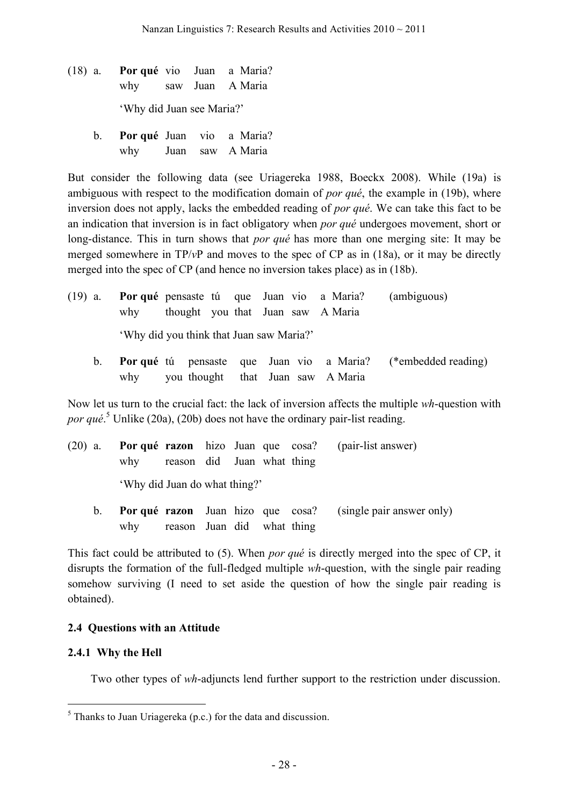- (18) a. **Por qué** vio Juan a Maria? why saw Juan A Maria 'Why did Juan see Maria?'
	- b. **Por qué** Juan vio a Maria? why Juan saw A Maria

But consider the following data (see Uriagereka 1988, Boeckx 2008). While (19a) is ambiguous with respect to the modification domain of *por qué*, the example in (19b), where inversion does not apply, lacks the embedded reading of *por qué*. We can take this fact to be an indication that inversion is in fact obligatory when *por qué* undergoes movement, short or long-distance. This in turn shows that *por qué* has more than one merging site: It may be merged somewhere in TP/*v*P and moves to the spec of CP as in (18a), or it may be directly merged into the spec of CP (and hence no inversion takes place) as in (18b).

- (19) a. **Por qué** pensaste tú que Juan vio a Maria? (ambiguous) why thought you that Juan saw A Maria 'Why did you think that Juan saw Maria?'
	- b. **Por qué** tú pensaste que Juan vio a Maria? (\*embedded reading) why you thought that Juan saw A Maria

Now let us turn to the crucial fact: the lack of inversion affects the multiple *wh*-question with *por qué*. <sup>5</sup> Unlike (20a), (20b) does not have the ordinary pair-list reading.

| why reason did Juan what thing |  |  | (20) a. <b>Por qué razon</b> hizo Juan que cosa? (pair-list answer) |
|--------------------------------|--|--|---------------------------------------------------------------------|
| 'Why did Juan do what thing?'  |  |  |                                                                     |

b. **Por qué razon** Juan hizo que cosa? (single pair answer only) why reason Juan did what thing

This fact could be attributed to (5). When *por qué* is directly merged into the spec of CP, it disrupts the formation of the full-fledged multiple *wh*-question, with the single pair reading somehow surviving (I need to set aside the question of how the single pair reading is obtained).

# **2.4 Questions with an Attitude**

### **2.4.1 Why the Hell**

Two other types of *wh*-adjuncts lend further support to the restriction under discussion.

 $<sup>5</sup>$  Thanks to Juan Uriagereka (p.c.) for the data and discussion.</sup>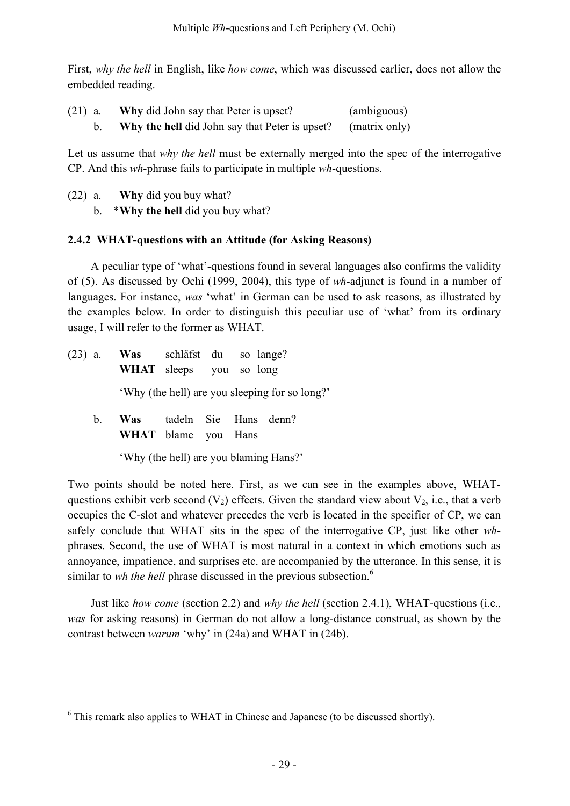First, *why the hell* in English, like *how come*, which was discussed earlier, does not allow the embedded reading.

| $(21)$ a. | <b>Why</b> did John say that Peter is upset?   | (ambiguous)   |
|-----------|------------------------------------------------|---------------|
|           | Why the hell did John say that Peter is upset? | (matrix only) |

Let us assume that *why the hell* must be externally merged into the spec of the interrogative CP. And this *wh*-phrase fails to participate in multiple *wh*-questions.

- (22) a. **Why** did you buy what?
	- b. \***Why the hell** did you buy what?

## **2.4.2 WHAT-questions with an Attitude (for Asking Reasons)**

A peculiar type of 'what'-questions found in several languages also confirms the validity of (5). As discussed by Ochi (1999, 2004), this type of *wh*-adjunct is found in a number of languages. For instance, *was* 'what' in German can be used to ask reasons, as illustrated by the examples below. In order to distinguish this peculiar use of 'what' from its ordinary usage, I will refer to the former as WHAT.

(23) a. **Was** schläfst du so lange? **WHAT** sleeps you so long 'Why (the hell) are you sleeping for so long?' b. **Was** tadeln Sie Hans denn? **WHAT** blame you Hans

'Why (the hell) are you blaming Hans?'

Two points should be noted here. First, as we can see in the examples above, WHATquestions exhibit verb second  $(V_2)$  effects. Given the standard view about  $V_2$ , i.e., that a verb occupies the C-slot and whatever precedes the verb is located in the specifier of CP, we can safely conclude that WHAT sits in the spec of the interrogative CP, just like other *wh*phrases. Second, the use of WHAT is most natural in a context in which emotions such as annoyance, impatience, and surprises etc. are accompanied by the utterance. In this sense, it is similar to *wh the hell* phrase discussed in the previous subsection. 6

Just like *how come* (section 2.2) and *why the hell* (section 2.4.1), WHAT-questions (i.e., *was* for asking reasons) in German do not allow a long-distance construal, as shown by the contrast between *warum* 'why' in (24a) and WHAT in (24b).

 $6$  This remark also applies to WHAT in Chinese and Japanese (to be discussed shortly).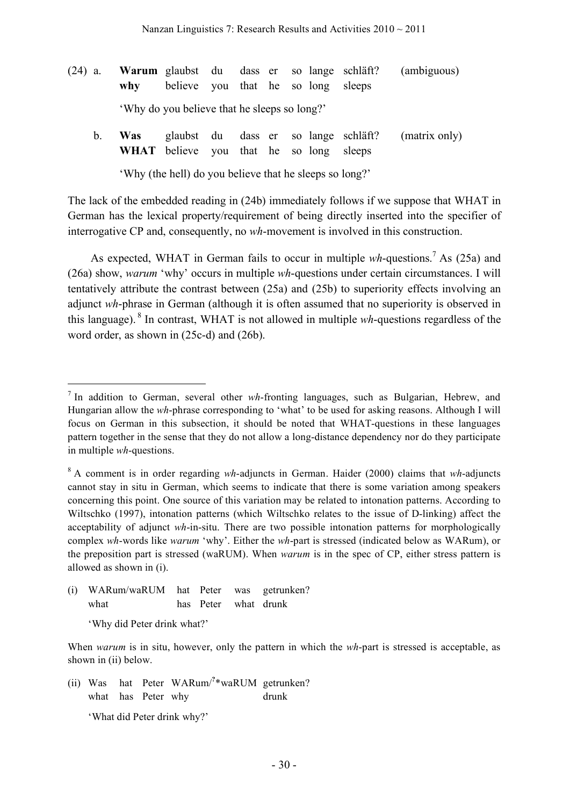- (24) a. **Warum** glaubst du dass er so lange schläft? (ambiguous) **why** believe you that he so long sleeps 'Why do you believe that he sleeps so long?'
	- b. **Was** glaubst du dass er so lange schläft? (matrix only) **WHAT** believe you that he so long sleeps

'Why (the hell) do you believe that he sleeps so long?'

The lack of the embedded reading in (24b) immediately follows if we suppose that WHAT in German has the lexical property/requirement of being directly inserted into the specifier of interrogative CP and, consequently, no *wh*-movement is involved in this construction.

As expected, WHAT in German fails to occur in multiple *wh*-questions. <sup>7</sup> As (25a) and (26a) show, *warum* 'why' occurs in multiple *wh*-questions under certain circumstances. I will tentatively attribute the contrast between (25a) and (25b) to superiority effects involving an adjunct *wh*-phrase in German (although it is often assumed that no superiority is observed in this language). <sup>8</sup> In contrast, WHAT is not allowed in multiple *wh*-questions regardless of the word order, as shown in (25c-d) and (26b).

- (i) WARum/waRUM hat Peter was getrunken? what has Peter what drunk
	- 'Why did Peter drink what?'

(ii) Was hat Peter WARum/<sup>2</sup>\*waRUM getrunken? what has Peter why drunk

'What did Peter drink why?'

 <sup>7</sup> In addition to German, several other *wh*-fronting languages, such as Bulgarian, Hebrew, and Hungarian allow the *wh*-phrase corresponding to 'what' to be used for asking reasons. Although I will focus on German in this subsection, it should be noted that WHAT-questions in these languages pattern together in the sense that they do not allow a long-distance dependency nor do they participate in multiple *wh*-questions.

<sup>8</sup> A comment is in order regarding *wh*-adjuncts in German. Haider (2000) claims that *wh*-adjuncts cannot stay in situ in German, which seems to indicate that there is some variation among speakers concerning this point. One source of this variation may be related to intonation patterns. According to Wiltschko (1997), intonation patterns (which Wiltschko relates to the issue of D-linking) affect the acceptability of adjunct *wh*-in-situ. There are two possible intonation patterns for morphologically complex *wh*-words like *warum* 'why'. Either the *wh*-part is stressed (indicated below as WARum), or the preposition part is stressed (waRUM). When *warum* is in the spec of CP, either stress pattern is allowed as shown in (i).

When *warum* is in situ, however, only the pattern in which the *wh*-part is stressed is acceptable, as shown in (ii) below.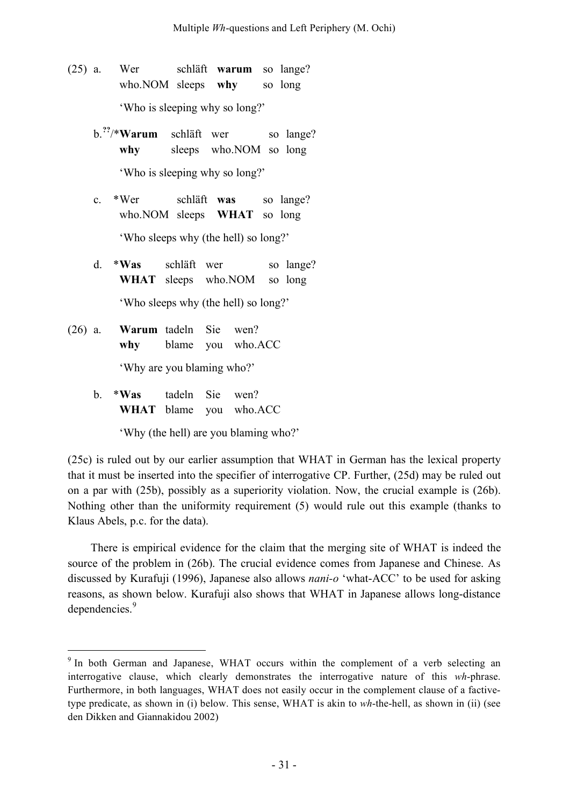- (25) a. Wer schläft **warum** so lange? who.NOM sleeps **why** so long 'Who is sleeping why so long?'
	- b.**??** /\***Warum** schläft wer so lange? **why** sleeps who.NOM so long 'Who is sleeping why so long?'
	- c. \*Wer schläft **was** so lange? who.NOM sleeps **WHAT** so long

'Who sleeps why (the hell) so long?'

- d. \***Was** schläft wer so lange? **WHAT** sleeps who.NOM so long 'Who sleeps why (the hell) so long?'
- (26) a. **Warum** tadeln Sie wen? **why** blame you who.ACC 'Why are you blaming who?'
	- b. \***Was** tadeln Sie wen? **WHAT** blame you who.ACC

'Why (the hell) are you blaming who?'

(25c) is ruled out by our earlier assumption that WHAT in German has the lexical property that it must be inserted into the specifier of interrogative CP. Further, (25d) may be ruled out on a par with (25b), possibly as a superiority violation. Now, the crucial example is (26b). Nothing other than the uniformity requirement (5) would rule out this example (thanks to Klaus Abels, p.c. for the data).

There is empirical evidence for the claim that the merging site of WHAT is indeed the source of the problem in (26b). The crucial evidence comes from Japanese and Chinese. As discussed by Kurafuji (1996), Japanese also allows *nani-o* 'what-ACC' to be used for asking reasons, as shown below. Kurafuji also shows that WHAT in Japanese allows long-distance dependencies.<sup>9</sup>

<sup>&</sup>lt;sup>9</sup> In both German and Japanese, WHAT occurs within the complement of a verb selecting an interrogative clause, which clearly demonstrates the interrogative nature of this *wh*-phrase. Furthermore, in both languages, WHAT does not easily occur in the complement clause of a factivetype predicate, as shown in (i) below. This sense, WHAT is akin to *wh*-the-hell, as shown in (ii) (see den Dikken and Giannakidou 2002)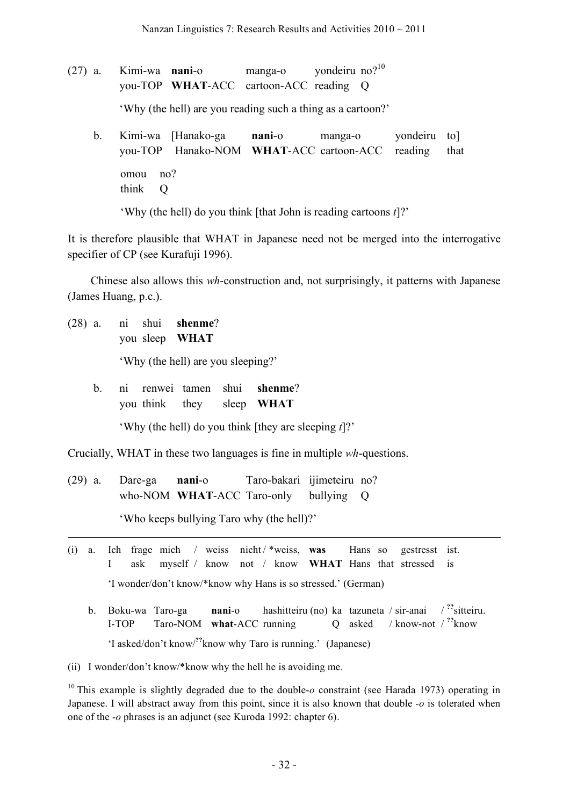$(27)$  a. Kimi-wa **nani**-o manga-o vondeiru no? $10$ you-TOP **WHAT**-ACC cartoon-ACC reading Q

'Why (the hell) are you reading such a thing as a cartoon?'

b. Kimi-wa [Hanako-ga **nani**-o manga-o yondeiru to] you-TOP Hanako-NOM **WHAT-ACC** cartoon-ACC reading that omou no? think Q

'Why (the hell) do you think [that John is reading cartoons *t*]?'

It is therefore plausible that WHAT in Japanese need not be merged into the interrogative specifier of CP (see Kurafuji 1996).

Chinese also allows this *wh*-construction and, not surprisingly, it patterns with Japanese (James Huang, p.c.).

(28) a. ni shui **shenme**? you sleep **WHAT**

1

'Why (the hell) are you sleeping?'

b. ni renwei tamen shui **shenme**? you think they sleep **WHAT**

'Why (the hell) do you think [they are sleeping *t*]?'

Crucially, WHAT in these two languages is fine in multiple *wh*-questions.

(29) a. Dare-ga **nani**-o Taro-bakari ijimeteiru no? who-NOM **WHAT**-ACC Taro-only bullying Q

'Who keeps bullying Taro why (the hell)?'

- (i) a. Ich frage mich / weiss nicht / \*weiss, **was** Hans so gestresst ist. I ask myself / know not / know **WHAT** Hans that stressed is 'I wonder/don't know/\*know why Hans is so stressed.' (German)
	- b. Boku-wa Taro-ga **nani**-o hashitteiru (no) ka tazuneta / sir-anai  $\frac{1}{2}$ sitteiru. I-TOP Taro-NOM what-ACC running Q asked / know-not /  $\frac{?}{'}$ know 'I asked/don't know/ **??** know why Taro is running.' (Japanese)

(ii) I wonder/don't know/\*know why the hell he is avoiding me.

<sup>10</sup> This example is slightly degraded due to the double-*o* constraint (see Harada 1973) operating in Japanese. I will abstract away from this point, since it is also known that double *-o* is tolerated when one of the *-o* phrases is an adjunct (see Kuroda 1992: chapter 6).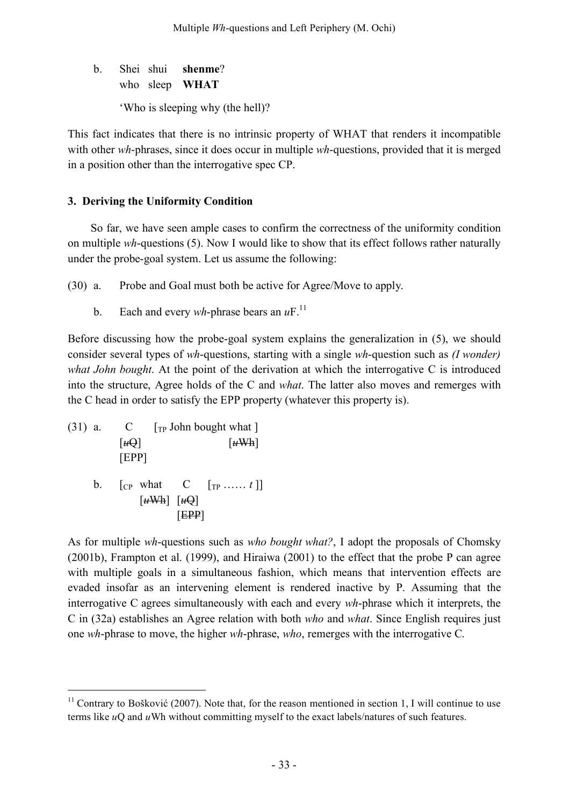b. Shei shui **shenme**? who sleep **WHAT**

'Who is sleeping why (the hell)?

This fact indicates that there is no intrinsic property of WHAT that renders it incompatible with other *wh*-phrases, since it does occur in multiple *wh*-questions, provided that it is merged in a position other than the interrogative spec CP.

# **3. Deriving the Uniformity Condition**

So far, we have seen ample cases to confirm the correctness of the uniformity condition on multiple *wh*-questions (5). Now I would like to show that its effect follows rather naturally under the probe-goal system. Let us assume the following:

(30) a. Probe and Goal must both be active for Agree/Move to apply.

b. Each and every *wh*-phrase bears an  $uF$ .<sup>11</sup>

Before discussing how the probe-goal system explains the generalization in (5), we should consider several types of *wh*-questions, starting with a single *wh*-question such as *(I wonder) what John bought*. At the point of the derivation at which the interrogative C is introduced into the structure, Agree holds of the C and *what*. The latter also moves and remerges with the C head in order to satisfy the EPP property (whatever this property is).

(31) a.  $C \qquad \text{[TP John bought what]}$  $\lceil u \Theta \rceil$   $\lceil u \text{Wh} \rceil$ [EPP] **b**. [<sub>CP</sub> what **C**  $[r_1, ..., t]$ ]  $\lceil u \text{Wh} \rceil \lceil u \text{Q} \rceil$ [EPP]

As for multiple *wh*-questions such as *who bought what?*, I adopt the proposals of Chomsky (2001b), Frampton et al. (1999), and Hiraiwa (2001) to the effect that the probe P can agree with multiple goals in a simultaneous fashion, which means that intervention effects are evaded insofar as an intervening element is rendered inactive by P. Assuming that the interrogative C agrees simultaneously with each and every *wh*-phrase which it interprets, the C in (32a) establishes an Agree relation with both *who* and *what*. Since English requires just one *wh*-phrase to move, the higher *wh*-phrase, *who*, remerges with the interrogative C.

 $11$  Contrary to Bošković (2007). Note that, for the reason mentioned in section 1, I will continue to use terms like *u*Q and *u*Wh without committing myself to the exact labels/natures of such features.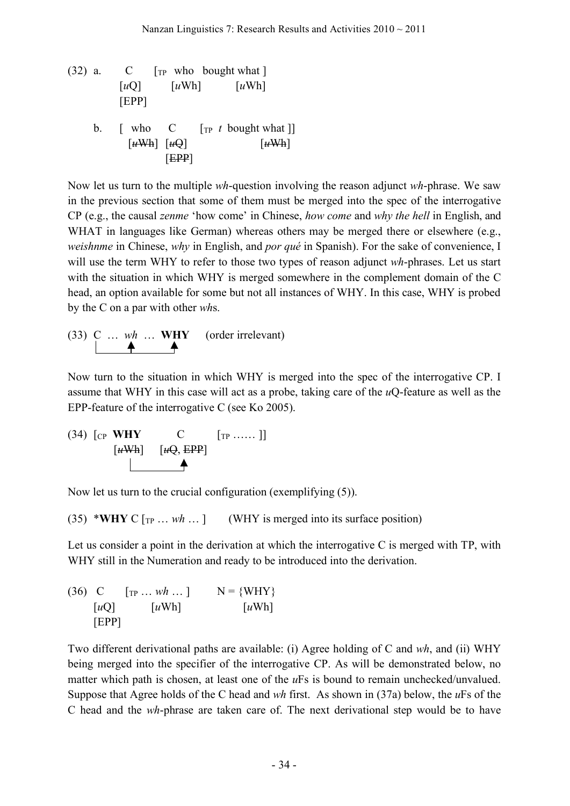(32) a.  $C \t[\text{TP} \text{ who bought what}]$ [*u*Q] [*u*Wh] [*u*Wh] [EPP] b.  $\lceil$  who  $\lceil$   $\lceil$   $\lceil$   $\lceil$   $\lceil$   $\lceil$   $\lceil$   $\lceil$   $\lceil$   $\lceil$   $\lceil$   $\lceil$   $\lceil$   $\lceil$   $\lceil$   $\lceil$   $\lceil$   $\lceil$   $\lceil$   $\lceil$   $\lceil$   $\lceil$   $\lceil$   $\lceil$   $\lceil$   $\lceil$   $\lceil$   $\lceil$   $\lceil$   $\lceil$   $\lceil$   $\lceil$   $\lceil$   $\lceil$   $\lceil$  $\left[\frac{u}{w}\right]$   $\left[\frac{u}{w}\right]$   $\left[\frac{u}{w}\right]$ [EPP]

Now let us turn to the multiple *wh*-question involving the reason adjunct *wh*-phrase. We saw in the previous section that some of them must be merged into the spec of the interrogative CP (e.g., the causal *zenme* 'how come' in Chinese, *how come* and *why the hell* in English, and WHAT in languages like German) whereas others may be merged there or elsewhere (e.g., *weishnme* in Chinese, *why* in English, and *por qué* in Spanish). For the sake of convenience, I will use the term WHY to refer to those two types of reason adjunct *wh*-phrases. Let us start with the situation in which WHY is merged somewhere in the complement domain of the C head, an option available for some but not all instances of WHY. In this case, WHY is probed by the C on a par with other *wh*s.

(33) C … *wh* … **WHY** (order irrelevant)

Now turn to the situation in which WHY is merged into the spec of the interrogative CP. I assume that WHY in this case will act as a probe, taking care of the *u*Q-feature as well as the EPP-feature of the interrogative C (see Ko 2005).

(34) 
$$
\begin{bmatrix} \text{CP} & \text{WHY} & \text{C} & \begin{bmatrix} \text{TP} & \dots & \dots \end{bmatrix} \end{bmatrix}
$$
  
 $\begin{bmatrix} \text{H}^{1} & \text{H}^{2} & \text{H}^{3} \end{bmatrix}$ 

Now let us turn to the crucial configuration (exemplifying (5)).

(35) \*WHY C  $[r_P \dots wh \dots]$  (WHY is merged into its surface position)

Let us consider a point in the derivation at which the interrogative C is merged with TP, with WHY still in the Numeration and ready to be introduced into the derivation.

(36) C 
$$
\begin{bmatrix} \text{TP} \dots \text{wh} \dots \text{]} & N = \{ \text{WHY} \} \\ \text{[}u\text{Q} \text{]} & \text{[}u\text{Wh} \text{]} & \text{[}u\text{Wh} \text{]} \end{bmatrix}
$$

Two different derivational paths are available: (i) Agree holding of C and *wh*, and (ii) WHY being merged into the specifier of the interrogative CP. As will be demonstrated below, no matter which path is chosen, at least one of the *u*Fs is bound to remain unchecked/unvalued. Suppose that Agree holds of the C head and *wh* first. As shown in (37a) below, the *u*Fs of the C head and the *wh*-phrase are taken care of. The next derivational step would be to have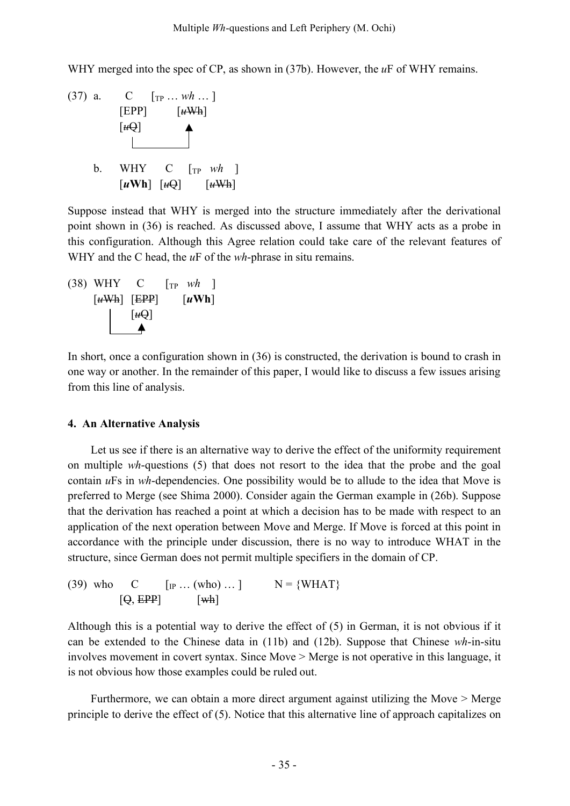WHY merged into the spec of CP, as shown in (37b). However, the *u*F of WHY remains.

(37) a. C [TP … *wh* … ]  $[EPP]$   $[*u*Wh]$  $[\mathit{u}\Theta]$ b. WHY C  $\lceil \text{TP} \ wh \rceil$  $\lceil u \text{Wh} \rceil$   $\lceil u \Theta \rceil$   $\lceil u \text{Wh} \rceil$ 

Suppose instead that WHY is merged into the structure immediately after the derivational point shown in (36) is reached. As discussed above, I assume that WHY acts as a probe in this configuration. Although this Agree relation could take care of the relevant features of WHY and the C head, the *u*F of the *wh*-phrase in situ remains.

(38) WHY C 
$$
[\text{TP } wh]
$$
  
\n $[\text{uWh}]$   $[\text{EPP}]$   $[\text{uWh}]$   
\n $[\text{uQ}]$ 

In short, once a configuration shown in (36) is constructed, the derivation is bound to crash in one way or another. In the remainder of this paper, I would like to discuss a few issues arising from this line of analysis.

#### **4. An Alternative Analysis**

Let us see if there is an alternative way to derive the effect of the uniformity requirement on multiple *wh*-questions (5) that does not resort to the idea that the probe and the goal contain *u*Fs in *wh*-dependencies. One possibility would be to allude to the idea that Move is preferred to Merge (see Shima 2000). Consider again the German example in (26b). Suppose that the derivation has reached a point at which a decision has to be made with respect to an application of the next operation between Move and Merge. If Move is forced at this point in accordance with the principle under discussion, there is no way to introduce WHAT in the structure, since German does not permit multiple specifiers in the domain of CP.

(39) who C  $\left[{}_{IP} \dots (who) \dots \right]$  N = {WHAT}  $[\Theta, \text{EPP}]$   $[\text{wh}]$ 

Although this is a potential way to derive the effect of (5) in German, it is not obvious if it can be extended to the Chinese data in (11b) and (12b). Suppose that Chinese *wh*-in-situ involves movement in covert syntax. Since Move > Merge is not operative in this language, it is not obvious how those examples could be ruled out.

Furthermore, we can obtain a more direct argument against utilizing the Move > Merge principle to derive the effect of (5). Notice that this alternative line of approach capitalizes on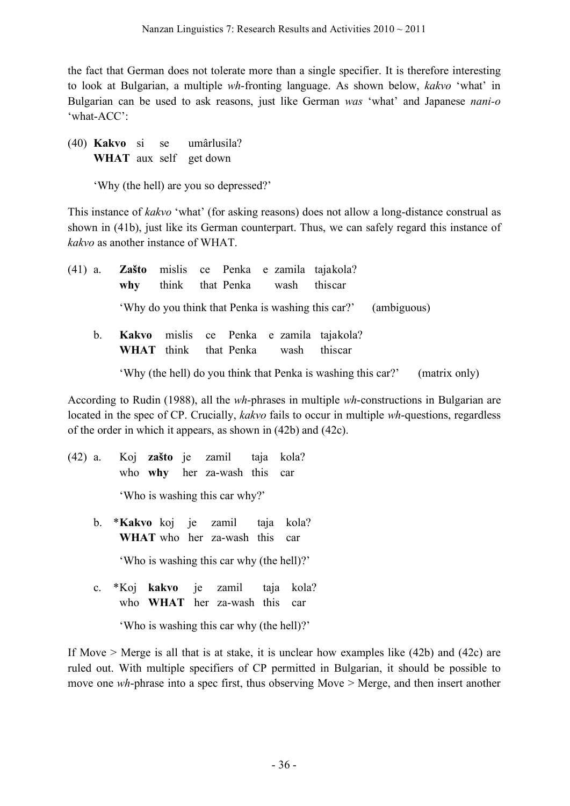the fact that German does not tolerate more than a single specifier. It is therefore interesting to look at Bulgarian, a multiple *wh*-fronting language. As shown below, *kakvo* 'what' in Bulgarian can be used to ask reasons, just like German *was* 'what' and Japanese *nani-o* 'what-ACC':

(40) **Kakvo** si se umârlusila? **WHAT** aux self get down

'Why (the hell) are you so depressed?'

This instance of *kakvo* 'what' (for asking reasons) does not allow a long-distance construal as shown in (41b), just like its German counterpart. Thus, we can safely regard this instance of *kakvo* as another instance of WHAT.

| $(41)$ a. | why         | think that Penka wash this car |  |  | Zašto mislis ce Penka e zamila tajakola? |                                                                                 |             |               |  |
|-----------|-------------|--------------------------------|--|--|------------------------------------------|---------------------------------------------------------------------------------|-------------|---------------|--|
|           |             |                                |  |  |                                          | 'Why do you think that Penka is washing this car?'                              | (ambiguous) |               |  |
|           | $b_{\cdot}$ |                                |  |  |                                          | Kakvo mislis ce Penka e zamila tajakola?<br>WHAT think that Penka wash this car |             |               |  |
|           |             |                                |  |  |                                          | 'Why (the hell) do you think that Penka is washing this car?'                   |             | (matrix only) |  |

According to Rudin (1988), all the *wh*-phrases in multiple *wh*-constructions in Bulgarian are located in the spec of CP. Crucially, *kakvo* fails to occur in multiple *wh*-questions, regardless of the order in which it appears, as shown in (42b) and (42c).

- (42) a. Koj **zašto** je zamil taja kola? who **why** her za-wash this car 'Who is washing this car why?'
	- b. \***Kakvo** koj je zamil taja kola? **WHAT** who her za-wash this car 'Who is washing this car why (the hell)?'
	- c. \*Koj **kakvo** je zamil taja kola? who **WHAT** her za-wash this car

'Who is washing this car why (the hell)?'

If Move > Merge is all that is at stake, it is unclear how examples like (42b) and (42c) are ruled out. With multiple specifiers of CP permitted in Bulgarian, it should be possible to move one *wh*-phrase into a spec first, thus observing Move > Merge, and then insert another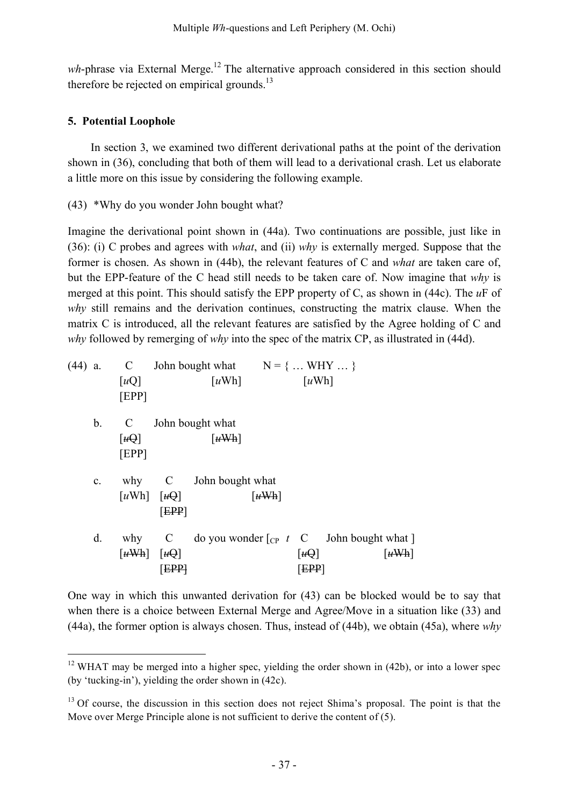wh-phrase via External Merge.<sup>12</sup> The alternative approach considered in this section should therefore be rejected on empirical grounds.<sup>13</sup>

# **5. Potential Loophole**

In section 3, we examined two different derivational paths at the point of the derivation shown in (36), concluding that both of them will lead to a derivational crash. Let us elaborate a little more on this issue by considering the following example.

(43) \*Why do you wonder John bought what?

Imagine the derivational point shown in (44a). Two continuations are possible, just like in (36): (i) C probes and agrees with *what*, and (ii) *why* is externally merged. Suppose that the former is chosen. As shown in (44b), the relevant features of C and *what* are taken care of, but the EPP-feature of the C head still needs to be taken care of. Now imagine that *why* is merged at this point. This should satisfy the EPP property of C, as shown in (44c). The *u*F of *why* still remains and the derivation continues, constructing the matrix clause. When the matrix C is introduced, all the relevant features are satisfied by the Agree holding of C and *why* followed by remerging of *why* into the spec of the matrix CP, as illustrated in (44d).

|                |                                                            |     | (44) a. C John bought what $N = \{  WHY  \}$                             |                             |                                         |                             |
|----------------|------------------------------------------------------------|-----|--------------------------------------------------------------------------|-----------------------------|-----------------------------------------|-----------------------------|
|                | $\lceil uQ \rceil$<br>[EPP]                                |     | $\lceil u \text{Wh} \rceil$                                              |                             | $\lceil u \text{Wh} \rceil$             |                             |
| $\mathbf{b}$ . | $\mathbf{C}$                                               |     | John bought what                                                         |                             |                                         |                             |
|                | $\lceil t \cdot \theta \rceil$<br>[EPP]                    |     | $\lceil u \text{Wh} \rceil$                                              |                             |                                         |                             |
| $c_{\cdot}$    |                                                            |     | why C John bought what                                                   |                             |                                         |                             |
|                | $\lceil u \text{Wh} \rceil \quad \lceil u \text{Q} \rceil$ | EPP |                                                                          | $\lceil u \text{Wh} \rceil$ |                                         |                             |
| d.             | $\left[\frac{u}{w}\right]$ $\left[\frac{u}{w}\right]$      |     | why $C$ do you wonder $\lceil_{CP} t \rceil C$ John bought what $\lceil$ |                             | $\lceil t \cdot \theta \rceil$<br>[EPP] | $\lceil u \text{Wh} \rceil$ |
|                |                                                            |     |                                                                          |                             |                                         |                             |

One way in which this unwanted derivation for (43) can be blocked would be to say that when there is a choice between External Merge and Agree/Move in a situation like (33) and (44a), the former option is always chosen. Thus, instead of (44b), we obtain (45a), where *why*

 $12$  WHAT may be merged into a higher spec, yielding the order shown in (42b), or into a lower spec (by 'tucking-in'), yielding the order shown in (42c).

<sup>&</sup>lt;sup>13</sup> Of course, the discussion in this section does not reject Shima's proposal. The point is that the Move over Merge Principle alone is not sufficient to derive the content of (5).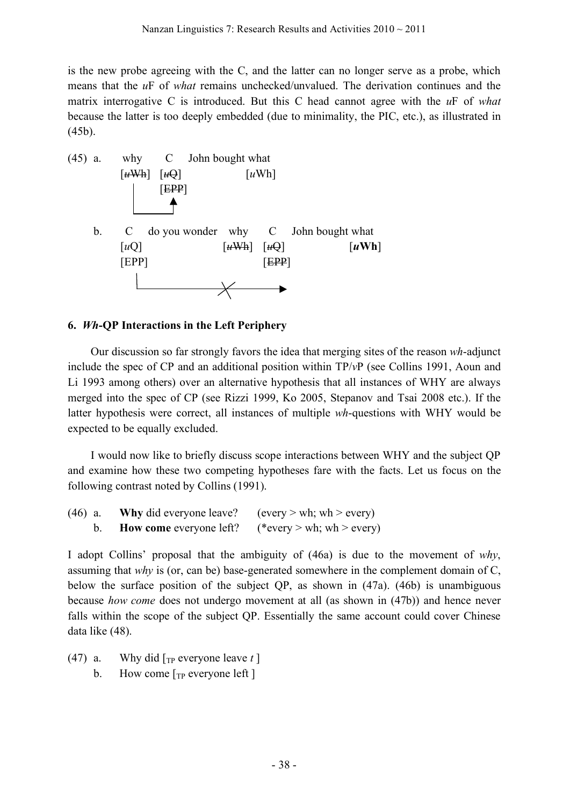is the new probe agreeing with the C, and the latter can no longer serve as a probe, which means that the *u*F of *what* remains unchecked/unvalued. The derivation continues and the matrix interrogative C is introduced. But this C head cannot agree with the *u*F of *what* because the latter is too deeply embedded (due to minimality, the PIC, etc.), as illustrated in (45b).



### **6.** *Wh***-QP Interactions in the Left Periphery**

Our discussion so far strongly favors the idea that merging sites of the reason *wh*-adjunct include the spec of CP and an additional position within TP/*v*P (see Collins 1991, Aoun and Li 1993 among others) over an alternative hypothesis that all instances of WHY are always merged into the spec of CP (see Rizzi 1999, Ko 2005, Stepanov and Tsai 2008 etc.). If the latter hypothesis were correct, all instances of multiple *wh*-questions with WHY would be expected to be equally excluded.

I would now like to briefly discuss scope interactions between WHY and the subject QP and examine how these two competing hypotheses fare with the facts. Let us focus on the following contrast noted by Collins (1991).

| $(46)$ a. | <b>Why</b> did everyone leave? | (every > wh; wh > every)  |
|-----------|--------------------------------|---------------------------|
|           | <b>How come</b> everyone left? | (*every > wh; wh > every) |

I adopt Collins' proposal that the ambiguity of (46a) is due to the movement of *why*, assuming that *why* is (or, can be) base-generated somewhere in the complement domain of C, below the surface position of the subject QP, as shown in (47a). (46b) is unambiguous because *how come* does not undergo movement at all (as shown in (47b)) and hence never falls within the scope of the subject QP. Essentially the same account could cover Chinese data like (48).

- (47) a. Why did  $[\text{TP} \text{ everyone leave } t]$ 
	- b. How come  $[\text{TP} \text{ everyone left}]$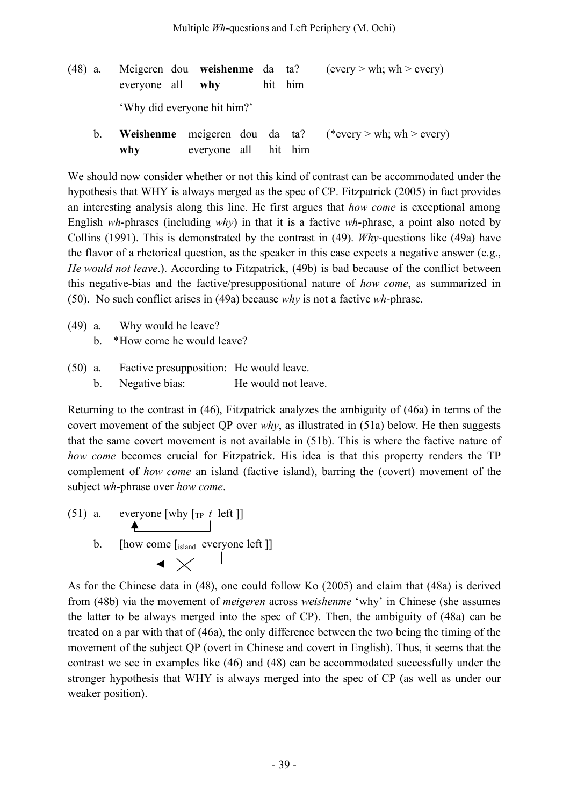(48) a. Meigeren dou **weishenme** da ta? (every > wh; wh > every) everyone all **why** hit him 'Why did everyone hit him?' b. **Weishenme** meigeren dou da ta? (\*every > wh; wh > every)

**why** everyone all hit him

We should now consider whether or not this kind of contrast can be accommodated under the hypothesis that WHY is always merged as the spec of CP. Fitzpatrick (2005) in fact provides an interesting analysis along this line. He first argues that *how come* is exceptional among English *wh*-phrases (including *why*) in that it is a factive *wh*-phrase, a point also noted by Collins (1991). This is demonstrated by the contrast in (49). *Why*-questions like (49a) have the flavor of a rhetorical question, as the speaker in this case expects a negative answer (e.g., *He would not leave*.). According to Fitzpatrick, (49b) is bad because of the conflict between this negative-bias and the factive/presuppositional nature of *how come*, as summarized in (50). No such conflict arises in (49a) because *why* is not a factive *wh*-phrase.

- (49) a. Why would he leave?
	- b. \*How come he would leave?
- (50) a. Factive presupposition: He would leave. b. Negative bias: He would not leave.

Returning to the contrast in (46), Fitzpatrick analyzes the ambiguity of (46a) in terms of the covert movement of the subject QP over *why*, as illustrated in (51a) below. He then suggests that the same covert movement is not available in (51b). This is where the factive nature of *how come* becomes crucial for Fitzpatrick. His idea is that this property renders the TP complement of *how come* an island (factive island), barring the (covert) movement of the subject *wh*-phrase over *how come*.

- (51) a. everyone [why  $\begin{bmatrix} \text{Tr } t & \text{left} \end{bmatrix}$ ]
	- b. [how come  $\left[\text{island} \text{ everyone left}\right]$ ]

As for the Chinese data in (48), one could follow Ko (2005) and claim that (48a) is derived from (48b) via the movement of *meigeren* across *weishenme* 'why' in Chinese (she assumes the latter to be always merged into the spec of CP). Then, the ambiguity of (48a) can be treated on a par with that of (46a), the only difference between the two being the timing of the movement of the subject QP (overt in Chinese and covert in English). Thus, it seems that the contrast we see in examples like (46) and (48) can be accommodated successfully under the stronger hypothesis that WHY is always merged into the spec of CP (as well as under our weaker position).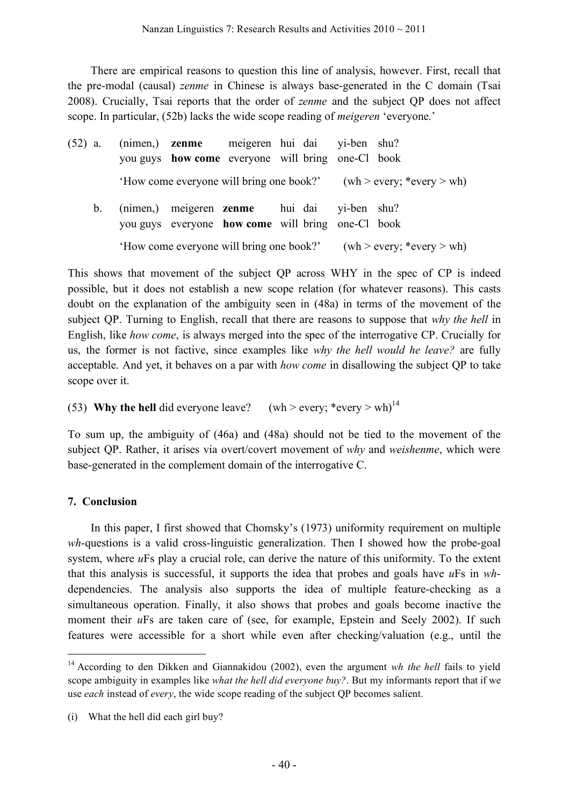There are empirical reasons to question this line of analysis, however. First, recall that the pre-modal (causal) *zenme* in Chinese is always base-generated in the C domain (Tsai 2008). Crucially, Tsai reports that the order of *zenme* and the subject QP does not affect scope. In particular, (52b) lacks the wide scope reading of *meigeren* 'everyone.'

(52) a. (nimen,) **zenme** meigeren hui dai yi-ben shu? you guys **how come** everyone will bring one-Cl book 'How come everyone will bring one book?' (wh > every; \*every > wh) b. (nimen,) meigeren **zenme** hui dai yi-ben shu? you guys everyone **how come** will bring one-Cl book 'How come everyone will bring one book?' (wh > every; \*every > wh)

This shows that movement of the subject QP across WHY in the spec of CP is indeed possible, but it does not establish a new scope relation (for whatever reasons). This casts doubt on the explanation of the ambiguity seen in (48a) in terms of the movement of the subject QP. Turning to English, recall that there are reasons to suppose that *why the hell* in English, like *how come*, is always merged into the spec of the interrogative CP. Crucially for us, the former is not factive, since examples like *why the hell would he leave?* are fully acceptable. And yet, it behaves on a par with *how come* in disallowing the subject QP to take scope over it.

(53) **Why the hell** did everyone leave?  $(\text{wh} > \text{every}; * \text{every} > \text{wh})^{14}$ 

To sum up, the ambiguity of (46a) and (48a) should not be tied to the movement of the subject QP. Rather, it arises via overt/covert movement of *why* and *weishenme*, which were base-generated in the complement domain of the interrogative C.

### **7. Conclusion**

In this paper, I first showed that Chomsky's (1973) uniformity requirement on multiple *wh*-questions is a valid cross-linguistic generalization. Then I showed how the probe-goal system, where *u*Fs play a crucial role, can derive the nature of this uniformity. To the extent that this analysis is successful, it supports the idea that probes and goals have *u*Fs in *wh*dependencies. The analysis also supports the idea of multiple feature-checking as a simultaneous operation. Finally, it also shows that probes and goals become inactive the moment their *u*Fs are taken care of (see, for example, Epstein and Seely 2002). If such features were accessible for a short while even after checking/valuation (e.g., until the

 <sup>14</sup> According to den Dikken and Giannakidou (2002), even the argument *wh the hell* fails to yield scope ambiguity in examples like *what the hell did everyone buy?*. But my informants report that if we use *each* instead of *every*, the wide scope reading of the subject QP becomes salient.

<sup>(</sup>i) What the hell did each girl buy?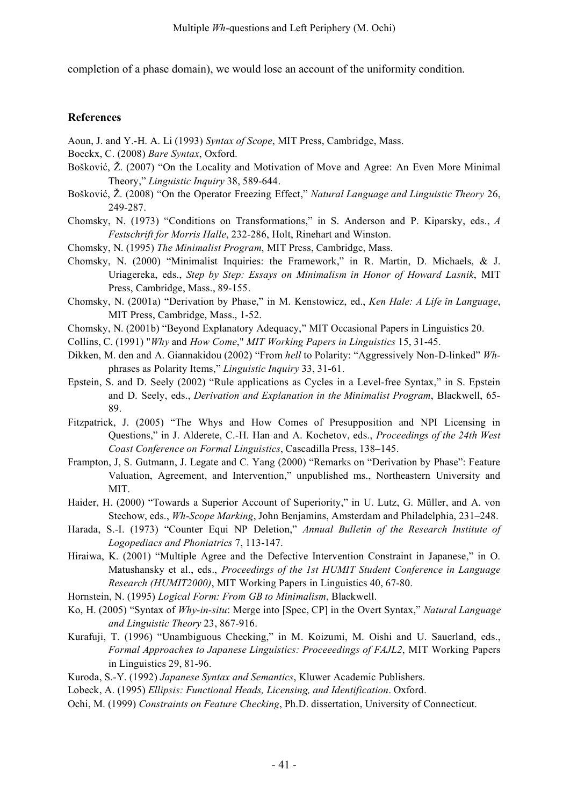completion of a phase domain), we would lose an account of the uniformity condition.

#### **References**

- Aoun, J. and Y.-H. A. Li (1993) *Syntax of Scope*, MIT Press, Cambridge, Mass.
- Boeckx, C. (2008) *Bare Syntax*, Oxford.
- Bošković, Ž. (2007) "On the Locality and Motivation of Move and Agree: An Even More Minimal Theory," *Linguistic Inquiry* 38, 589-644.
- Bošković, Ž. (2008) "On the Operator Freezing Effect," *Natural Language and Linguistic Theory* 26, 249-287.
- Chomsky, N. (1973) "Conditions on Transformations," in S. Anderson and P. Kiparsky, eds., *A Festschrift for Morris Halle*, 232-286, Holt, Rinehart and Winston.
- Chomsky, N. (1995) *The Minimalist Program*, MIT Press, Cambridge, Mass.
- Chomsky, N. (2000) "Minimalist Inquiries: the Framework," in R. Martin, D. Michaels, & J. Uriagereka, eds., *Step by Step: Essays on Minimalism in Honor of Howard Lasnik*, MIT Press, Cambridge, Mass., 89-155.
- Chomsky, N. (2001a) "Derivation by Phase," in M. Kenstowicz, ed., *Ken Hale: A Life in Language*, MIT Press, Cambridge, Mass., 1-52.
- Chomsky, N. (2001b) "Beyond Explanatory Adequacy," MIT Occasional Papers in Linguistics 20.
- Collins, C. (1991) "*Why* and *How Come*," *MIT Working Papers in Linguistics* 15, 31-45.
- Dikken, M. den and A. Giannakidou (2002) "From *hell* to Polarity: "Aggressively Non-D-linked" *Wh*phrases as Polarity Items," *Linguistic Inquiry* 33, 31-61.
- Epstein, S. and D. Seely (2002) "Rule applications as Cycles in a Level-free Syntax," in S. Epstein and D. Seely, eds., *Derivation and Explanation in the Minimalist Program*, Blackwell, 65- 89.
- Fitzpatrick, J. (2005) "The Whys and How Comes of Presupposition and NPI Licensing in Questions," in J. Alderete, C.-H. Han and A. Kochetov, eds., *Proceedings of the 24th West Coast Conference on Formal Linguistics*, Cascadilla Press, 138–145.
- Frampton, J, S. Gutmann, J. Legate and C. Yang (2000) "Remarks on "Derivation by Phase": Feature Valuation, Agreement, and Intervention," unpublished ms., Northeastern University and MIT.
- Haider, H. (2000) "Towards a Superior Account of Superiority," in U. Lutz, G. Müller, and A. von Stechow, eds., *Wh-Scope Marking*, John Benjamins, Amsterdam and Philadelphia, 231–248.
- Harada, S.-I. (1973) "Counter Equi NP Deletion," *Annual Bulletin of the Research Institute of Logopediacs and Phoniatrics* 7, 113-147.
- Hiraiwa, K. (2001) "Multiple Agree and the Defective Intervention Constraint in Japanese," in O. Matushansky et al., eds., *Proceedings of the 1st HUMIT Student Conference in Language Research (HUMIT2000)*, MIT Working Papers in Linguistics 40, 67-80.
- Hornstein, N. (1995) *Logical Form: From GB to Minimalism*, Blackwell.
- Ko, H. (2005) "Syntax of *Why-in-situ*: Merge into [Spec, CP] in the Overt Syntax," *Natural Language and Linguistic Theory* 23, 867-916.
- Kurafuji, T. (1996) "Unambiguous Checking," in M. Koizumi, M. Oishi and U. Sauerland, eds., *Formal Approaches to Japanese Linguistics: Proceeedings of FAJL2*, MIT Working Papers in Linguistics 29, 81-96.
- Kuroda, S.-Y. (1992) *Japanese Syntax and Semantics*, Kluwer Academic Publishers.
- Lobeck, A. (1995) *Ellipsis: Functional Heads, Licensing, and Identification*. Oxford.
- Ochi, M. (1999) *Constraints on Feature Checking*, Ph.D. dissertation, University of Connecticut.